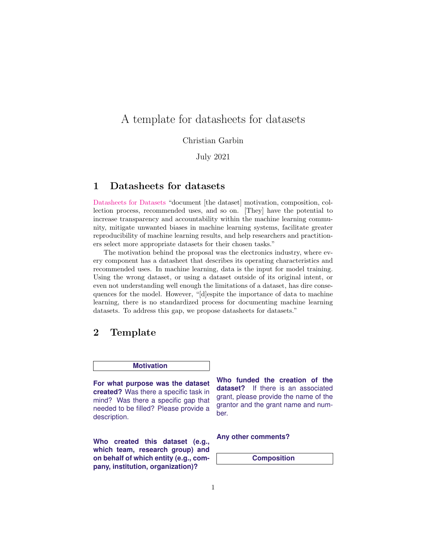# A template for datasheets for datasets

Christian Garbin

July 2021

### 1 Datasheets for datasets

[Datasheets for Datasets](https://arxiv.org/abs/1803.09010) "document [the dataset] motivation, composition, collection process, recommended uses, and so on. [They] have the potential to increase transparency and accountability within the machine learning community, mitigate unwanted biases in machine learning systems, facilitate greater reproducibility of machine learning results, and help researchers and practitioners select more appropriate datasets for their chosen tasks."

The motivation behind the proposal was the electronics industry, where every component has a datasheet that describes its operating characteristics and recommended uses. In machine learning, data is the input for model training. Using the wrong dataset, or using a dataset outside of its original intent, or even not understanding well enough the limitations of a dataset, has dire consequences for the model. However, "[d]espite the importance of data to machine learning, there is no standardized process for documenting machine learning datasets. To address this gap, we propose datasheets for datasets."

## 2 Template

**Motivation**

**For what purpose was the dataset created?** Was there a specific task in mind? Was there a specific gap that needed to be filled? Please provide a description.

**Who created this dataset (e.g., which team, research group) and on behalf of which entity (e.g., company, institution, organization)?**

**Who funded the creation of the dataset?** If there is an associated grant, please provide the name of the grantor and the grant name and number.

#### **Any other comments?**

**Composition**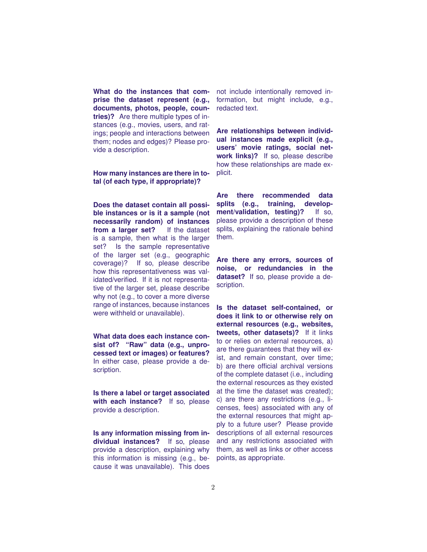**What do the instances that comprise the dataset represent (e.g., documents, photos, people, countries)?** Are there multiple types of instances (e.g., movies, users, and ratings; people and interactions between them; nodes and edges)? Please provide a description.

**How many instances are there in total (of each type, if appropriate)?**

**Does the dataset contain all possible instances or is it a sample (not necessarily random) of instances from a larger set?** If the dataset is a sample, then what is the larger set? Is the sample representative of the larger set (e.g., geographic coverage)? If so, please describe how this representativeness was validated/verified. If it is not representative of the larger set, please describe why not (e.g., to cover a more diverse range of instances, because instances were withheld or unavailable).

**What data does each instance consist of? "Raw" data (e.g., unprocessed text or images) or features?** In either case, please provide a description.

**Is there a label or target associated** with each instance? If so, please provide a description.

**Is any information missing from individual instances?** If so, please provide a description, explaining why this information is missing (e.g., because it was unavailable). This does

not include intentionally removed information, but might include, e.g., redacted text.

**Are relationships between individual instances made explicit (e.g., users' movie ratings, social network links)?** If so, please describe how these relationships are made explicit.

**Are there recommended data splits (e.g., training, development/validation, testing)?** If so, please provide a description of these splits, explaining the rationale behind them.

**Are there any errors, sources of noise, or redundancies in the dataset?** If so, please provide a description.

**Is the dataset self-contained, or does it link to or otherwise rely on external resources (e.g., websites, tweets, other datasets)?** If it links to or relies on external resources, a) are there guarantees that they will exist, and remain constant, over time; b) are there official archival versions of the complete dataset (i.e., including the external resources as they existed at the time the dataset was created); c) are there any restrictions (e.g., licenses, fees) associated with any of the external resources that might apply to a future user? Please provide descriptions of all external resources and any restrictions associated with them, as well as links or other access points, as appropriate.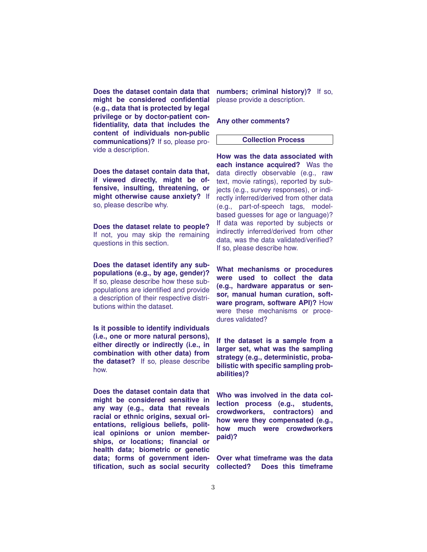**Does the dataset contain data that might be considered confidential (e.g., data that is protected by legal privilege or by doctor-patient confidentiality, data that includes the content of individuals non-public communications)?** If so, please provide a description.

**Does the dataset contain data that, if viewed directly, might be offensive, insulting, threatening, or might otherwise cause anxiety?** If so, please describe why.

**Does the dataset relate to people?** If not, you may skip the remaining questions in this section.

**Does the dataset identify any subpopulations (e.g., by age, gender)?** If so, please describe how these subpopulations are identified and provide a description of their respective distributions within the dataset.

**Is it possible to identify individuals (i.e., one or more natural persons), either directly or indirectly (i.e., in combination with other data) from the dataset?** If so, please describe how.

**Does the dataset contain data that might be considered sensitive in any way (e.g., data that reveals racial or ethnic origins, sexual orientations, religious beliefs, political opinions or union memberships, or locations; financial or health data; biometric or genetic data; forms of government identification, such as social security**

**numbers; criminal history)?** If so, please provide a description.

#### **Any other comments?**

#### **Collection Process**

**How was the data associated with each instance acquired?** Was the data directly observable (e.g., raw text, movie ratings), reported by subjects (e.g., survey responses), or indirectly inferred/derived from other data (e.g., part-of-speech tags, modelbased guesses for age or language)? If data was reported by subjects or indirectly inferred/derived from other data, was the data validated/verified? If so, please describe how.

**What mechanisms or procedures were used to collect the data (e.g., hardware apparatus or sensor, manual human curation, software program, software API)?** How were these mechanisms or procedures validated?

**If the dataset is a sample from a larger set, what was the sampling strategy (e.g., deterministic, probabilistic with specific sampling probabilities)?**

**Who was involved in the data collection process (e.g., students, crowdworkers, contractors) and how were they compensated (e.g., how much were crowdworkers paid)?**

**Over what timeframe was the data Does this timeframe**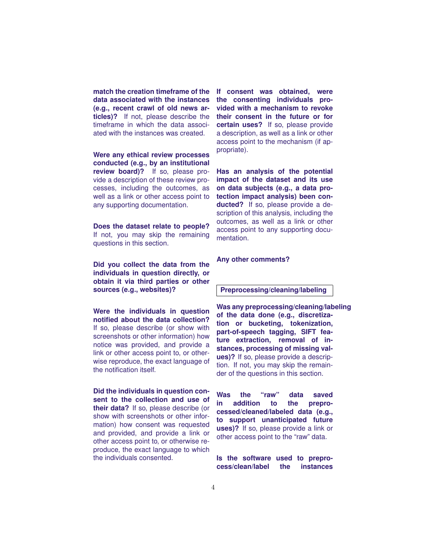**match the creation timeframe of the data associated with the instances (e.g., recent crawl of old news articles)?** If not, please describe the timeframe in which the data associated with the instances was created.

**Were any ethical review processes conducted (e.g., by an institutional review board)?** If so, please provide a description of these review processes, including the outcomes, as well as a link or other access point to any supporting documentation.

**Does the dataset relate to people?** If not, you may skip the remaining questions in this section.

**Did you collect the data from the individuals in question directly, or obtain it via third parties or other sources (e.g., websites)?**

**Were the individuals in question notified about the data collection?** If so, please describe (or show with screenshots or other information) how notice was provided, and provide a link or other access point to, or otherwise reproduce, the exact language of the notification itself.

**Did the individuals in question consent to the collection and use of their data?** If so, please describe (or show with screenshots or other information) how consent was requested and provided, and provide a link or other access point to, or otherwise reproduce, the exact language to which the individuals consented.

**If consent was obtained, were the consenting individuals provided with a mechanism to revoke their consent in the future or for certain uses?** If so, please provide a description, as well as a link or other access point to the mechanism (if appropriate).

**Has an analysis of the potential impact of the dataset and its use on data subjects (e.g., a data protection impact analysis) been conducted?** If so, please provide a description of this analysis, including the outcomes, as well as a link or other access point to any supporting documentation.

#### **Any other comments?**

**Preprocessing/cleaning/labeling**

**Was any preprocessing/cleaning/labeling of the data done (e.g., discretization or bucketing, tokenization, part-of-speech tagging, SIFT feature extraction, removal of instances, processing of missing values)?** If so, please provide a description. If not, you may skip the remainder of the questions in this section.

**Was the "raw" data saved in addition to the preprocessed/cleaned/labeled data (e.g., to support unanticipated future uses)?** If so, please provide a link or other access point to the "raw" data.

**Is the software used to preprocess/clean/label the instances**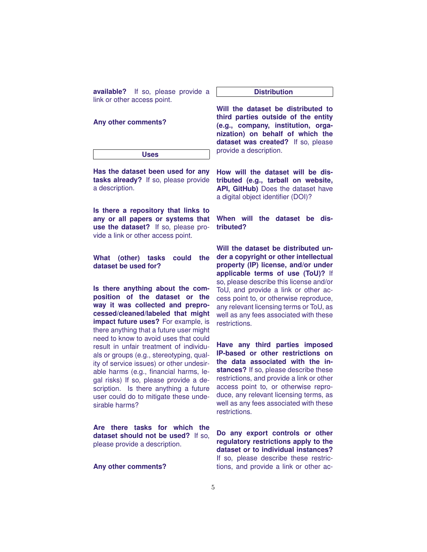**available?** If so, please provide a link or other access point.

#### **Any other comments?**

| Uses |
|------|
|      |

**Has the dataset been used for any tasks already?** If so, please provide a description.

**Is there a repository that links to any or all papers or systems that use the dataset?** If so, please provide a link or other access point.

**What (other) tasks could the dataset be used for?**

**Is there anything about the composition of the dataset or the way it was collected and preprocessed/cleaned/labeled that might impact future uses?** For example, is there anything that a future user might need to know to avoid uses that could result in unfair treatment of individuals or groups (e.g., stereotyping, quality of service issues) or other undesirable harms (e.g., financial harms, legal risks) If so, please provide a description. Is there anything a future user could do to mitigate these undesirable harms?

**Are there tasks for which the dataset should not be used?** If so, please provide a description.

**Any other comments?**

#### **Distribution**

**Will the dataset be distributed to third parties outside of the entity (e.g., company, institution, organization) on behalf of which the** dataset was created? If so, please provide a description.

**How will the dataset will be distributed (e.g., tarball on website, API, GitHub)** Does the dataset have a digital object identifier (DOI)?

**When will the dataset be distributed?**

**Will the dataset be distributed under a copyright or other intellectual property (IP) license, and/or under applicable terms of use (ToU)?** If so, please describe this license and/or ToU, and provide a link or other access point to, or otherwise reproduce, any relevant licensing terms or ToU, as well as any fees associated with these restrictions.

**Have any third parties imposed IP-based or other restrictions on the data associated with the instances?** If so, please describe these restrictions, and provide a link or other access point to, or otherwise reproduce, any relevant licensing terms, as well as any fees associated with these restrictions.

**Do any export controls or other regulatory restrictions apply to the dataset or to individual instances?** If so, please describe these restrictions, and provide a link or other ac